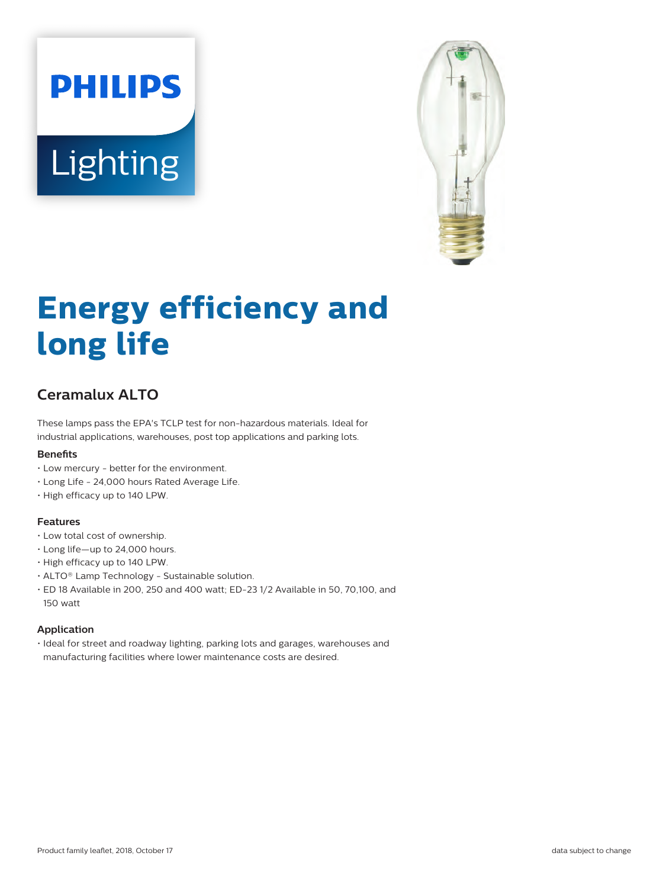# **PHILIPS** Lighting



# **Energy efficiency and long life**

# **Ceramalux ALTO**

These lamps pass the EPA's TCLP test for non-hazardous materials. Ideal for industrial applications, warehouses, post top applications and parking lots.

#### **Benefits**

- Low mercury better for the environment.
- Long Life 24,000 hours Rated Average Life.
- High efficacy up to 140 LPW.

#### **Features**

- Low total cost of ownership.
- Long life—up to 24,000 hours.
- High efficacy up to 140 LPW.
- ALTO® Lamp Technology Sustainable solution.
- ED 18 Available in 200, 250 and 400 watt; ED-23 1/2 Available in 50, 70,100, and 150 watt

#### **Application**

• Ideal for street and roadway lighting, parking lots and garages, warehouses and manufacturing facilities where lower maintenance costs are desired.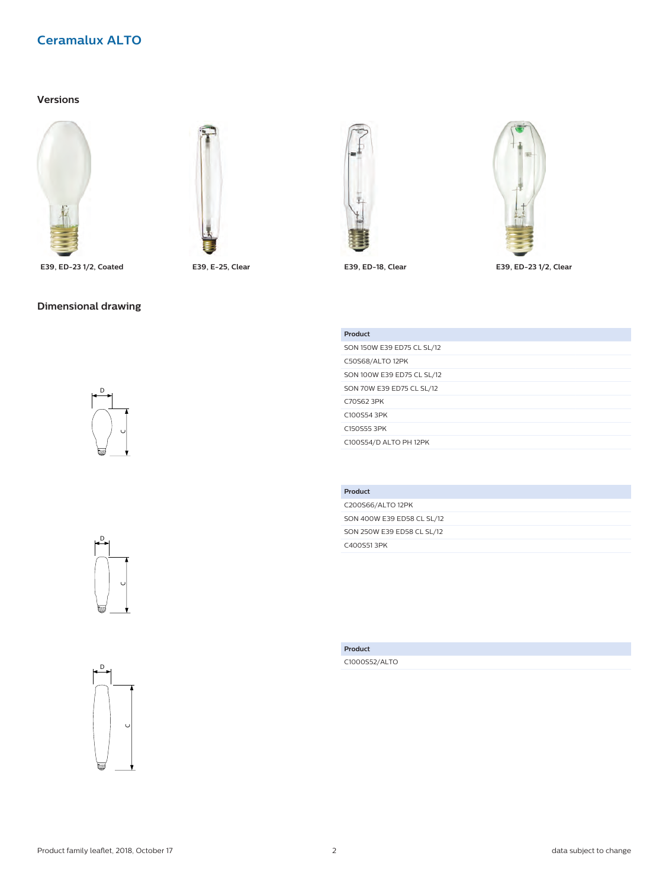# **Versions**





**E39, ED-23 1/2, Coated E39, E-25, Clear E39, ED-18, Clear E39, ED-23 1/2, Clear**













| Product                    |
|----------------------------|
| SON 150W E39 ED75 CL SL/12 |
| C50S68/ALTO 12PK           |
| SON 100W E39 ED75 CL SL/12 |
| SON 70W E39 ED75 CL SL/12  |
| C70S62 3PK                 |
| C100S54 3PK                |
| C150S553PK                 |
| C100S54/D ALTO PH 12PK     |
|                            |

| Product                    |
|----------------------------|
| C200S66/ALTO 12PK          |
| SON 400W E39 ED58 CL SL/12 |
| SON 250W E39 ED58 CL SL/12 |
| C400S513PK                 |

**Product** C1000S52/ALTO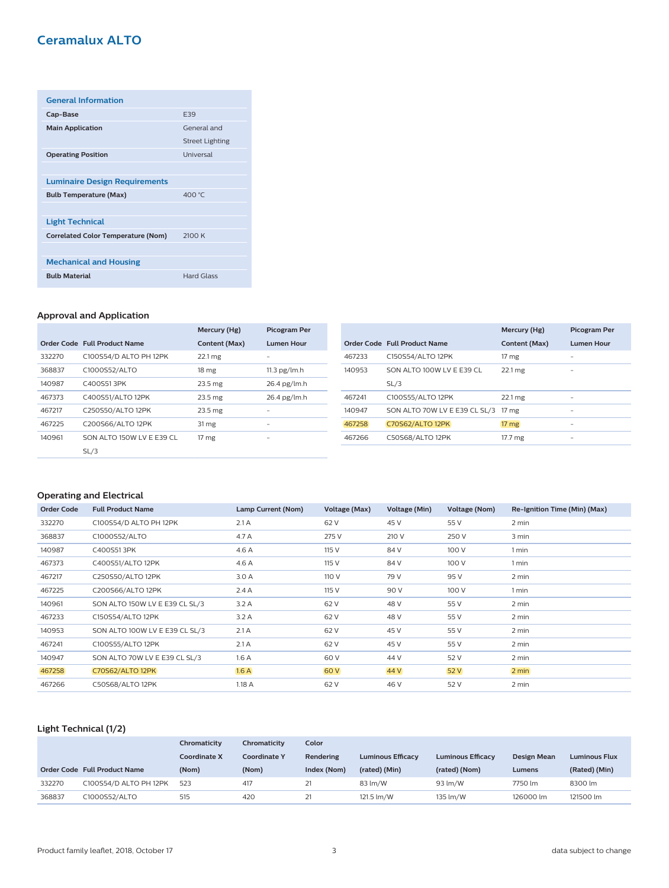| <b>General Information</b>                |                        |
|-------------------------------------------|------------------------|
| Cap-Base                                  | <b>F39</b>             |
| <b>Main Application</b>                   | General and            |
|                                           | <b>Street Lighting</b> |
| <b>Operating Position</b>                 | Universal              |
|                                           |                        |
| <b>Luminaire Design Requirements</b>      |                        |
| <b>Bulb Temperature (Max)</b>             | 400 °C                 |
|                                           |                        |
| <b>Light Technical</b>                    |                        |
| <b>Correlated Color Temperature (Nom)</b> | 2100K                  |
|                                           |                        |
| <b>Mechanical and Housing</b>             |                        |
| <b>Bulb Material</b>                      | <b>Hard Glass</b>      |

#### **Approval and Application**

|        |                              | Mercury (Hg)      | <b>Picogram Per</b> |
|--------|------------------------------|-------------------|---------------------|
|        | Order Code Full Product Name | Content (Max)     | <b>Lumen Hour</b>   |
| 332270 | C100S54/D ALTO PH 12PK       | 22.1 mg           |                     |
| 368837 | C1000S52/ALTO                | 18 mg             | $11.3$ pg/lm.h      |
| 140987 | C400S513PK                   | 23.5 mg           | 26.4 pg/lm.h        |
| 467373 | C400S51/ALTO 12PK            | $23.5 \text{ mg}$ | 26.4 pg/lm.h        |
| 467217 | C250S50/ALTO 12PK            | $23.5 \text{ mg}$ |                     |
| 467225 | C200S66/ALTO 12PK            | 31 mg             | ۰                   |
| 140961 | SON ALTO 150W LV E E39 CL    | 17 <sub>mg</sub>  | -                   |
|        | SL/3                         |                   |                     |

|        |                               | Mercury (Hg)         | <b>Picogram Per</b> |
|--------|-------------------------------|----------------------|---------------------|
|        | Order Code Full Product Name  | Content (Max)        | <b>Lumen Hour</b>   |
| 467233 | C150S54/ALTO 12PK             | 17 mg                |                     |
| 140953 | SON ALTO 100W LV E E39 CL     | $22.1 \text{ mg}$    |                     |
|        | SL/3                          |                      |                     |
| 467241 | C100S55/ALTO 12PK             | $22.1 \,\mathrm{mg}$ |                     |
| 140947 | SON ALTO 70W LV E E39 CL SL/3 | 17 <sub>mg</sub>     |                     |
| 467258 | <b>C70S62/ALTO 12PK</b>       | $17 \, \text{mg}$    |                     |
| 467266 | C50S68/ALTO 12PK              | 17.7 mg              | -                   |

# **Operating and Electrical**

| <b>Order Code</b> | <b>Full Product Name</b>       | Lamp Current (Nom) | Voltage (Max) | Voltage (Min) | Voltage (Nom) | Re-Ignition Time (Min) (Max) |
|-------------------|--------------------------------|--------------------|---------------|---------------|---------------|------------------------------|
| 332270            | C100S54/D ALTO PH 12PK         | 2.1A               | 62 V          | 45 V          | 55 V          | 2 min                        |
| 368837            | C1000S52/ALTO                  | 4.7 A              | 275 V         | 210 V         | 250 V         | 3 min                        |
| 140987            | C400S513PK                     | 4.6 A              | 115 V         | 84 V          | 100 V         | 1 min                        |
| 467373            | C400S51/ALTO 12PK              | 4.6 A              | 115 V         | 84 V          | 100 V         | 1 min                        |
| 467217            | C250S50/ALTO 12PK              | 3.0 A              | 110 V         | 79 V          | 95 V          | 2 min                        |
| 467225            | C200S66/ALTO 12PK              | 2.4A               | 115 V         | 90 V          | 100 V         | 1 min                        |
| 140961            | SON ALTO 150W LV E E39 CL SL/3 | 3.2A               | 62 V          | 48 V          | 55 V          | 2 min                        |
| 467233            | C150S54/ALTO 12PK              | 3.2A               | 62 V          | 48 V          | 55 V          | 2 min                        |
| 140953            | SON ALTO 100W LV E E39 CL SL/3 | 2.1A               | 62 V          | 45 V          | 55 V          | 2 min                        |
| 467241            | C100S55/ALTO 12PK              | 2.1A               | 62 V          | 45 V          | 55 V          | 2 min                        |
| 140947            | SON ALTO 70W LV E E39 CL SL/3  | 1.6A               | 60 V          | 44 V          | 52 V          | 2 min                        |
| 467258            | <b>C70S62/ALTO 12PK</b>        | 1.6A               | 60 V          | 44 V          | 52 V          | 2 min                        |
| 467266            | C50S68/ALTO 12PK               | 1.18 A             | 62 V          | 46 V          | 52 V          | 2 min                        |

# **Light Technical (1/2)**

|        |                              | Chromaticity        | Chromaticity        | Color       |                          |                          |                    |                      |
|--------|------------------------------|---------------------|---------------------|-------------|--------------------------|--------------------------|--------------------|----------------------|
|        |                              | <b>Coordinate X</b> | <b>Coordinate Y</b> | Rendering   | <b>Luminous Efficacy</b> | <b>Luminous Efficacy</b> | <b>Design Mean</b> | <b>Luminous Flux</b> |
|        | Order Code Full Product Name | (Nom)               | (Nom)               | Index (Nom) | (rated) (Min)            | (rated) (Nom)            | Lumens             | (Rated) (Min)        |
| 332270 | C100S54/D ALTO PH 12PK       | 523                 | 417                 | 21          | 83 lm/W                  | 93 lm/W                  | 7750 lm            | 8300 lm              |
| 368837 | C1000S52/ALTO                | 515                 | 420                 | 21          | 121.5 lm/W               | 135 lm/W                 | 126000 lm          | 121500 lm            |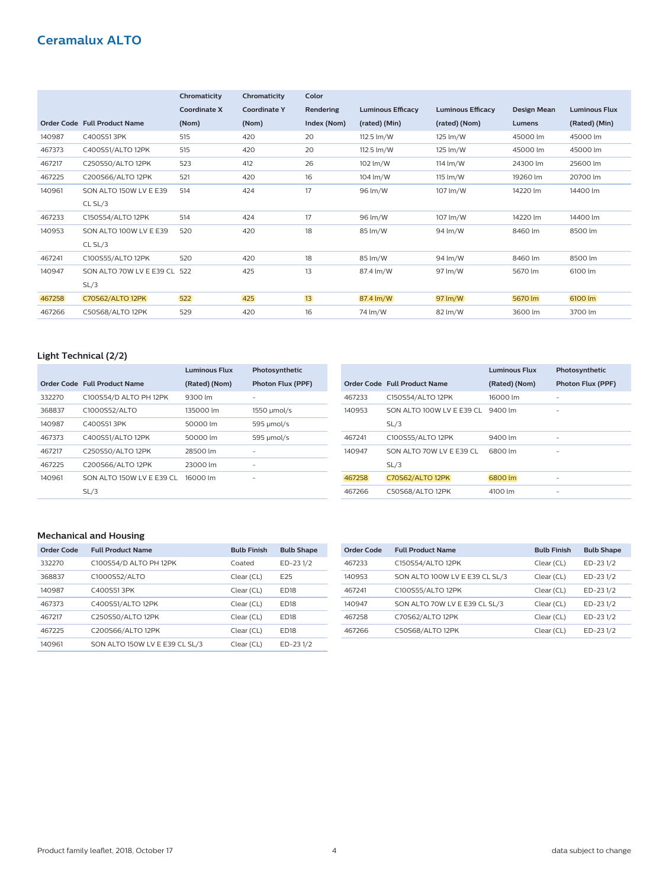|        |                                     | Chromaticity        | Chromaticity        | Color       |                          |                          |             |                      |
|--------|-------------------------------------|---------------------|---------------------|-------------|--------------------------|--------------------------|-------------|----------------------|
|        |                                     | <b>Coordinate X</b> | <b>Coordinate Y</b> | Rendering   | <b>Luminous Efficacy</b> | <b>Luminous Efficacy</b> | Design Mean | <b>Luminous Flux</b> |
|        | <b>Order Code Full Product Name</b> | (Nom)               | (Nom)               | Index (Nom) | (rated) (Min)            | (rated) (Nom)            | Lumens      | (Rated) (Min)        |
| 140987 | C400S513PK                          | 515                 | 420                 | 20          | 112.5 lm/W               | 125 lm/W                 | 45000 lm    | 45000 lm             |
| 467373 | C400S51/ALTO 12PK                   | 515                 | 420                 | 20          | 112.5 lm/W               | 125 lm/W                 | 45000 lm    | 45000 lm             |
| 467217 | C250S50/ALTO 12PK                   | 523                 | 412                 | 26          | 102 lm/W                 | 114 lm/W                 | 24300 lm    | 25600 lm             |
| 467225 | C200S66/ALTO 12PK                   | 521                 | 420                 | 16          | 104 lm/W                 | 115 lm/W                 | 19260 lm    | 20700 lm             |
| 140961 | SON ALTO 150W LV E E39              | 514                 | 424                 | 17          | 96 lm/W                  | 107 lm/W                 | 14220 lm    | 14400 lm             |
|        | CL SL/3                             |                     |                     |             |                          |                          |             |                      |
| 467233 | C150S54/ALTO 12PK                   | 514                 | 424                 | 17          | 96 lm/W                  | 107 lm/W                 | 14220 lm    | 14400 lm             |
| 140953 | SON ALTO 100W LV E E39              | 520                 | 420                 | 18          | 85 lm/W                  | 94 lm/W                  | 8460 lm     | 8500 lm              |
|        | CL SL/3                             |                     |                     |             |                          |                          |             |                      |
| 467241 | C100S55/ALTO 12PK                   | 520                 | 420                 | 18          | 85 lm/W                  | 94 lm/W                  | 8460 lm     | 8500 lm              |
| 140947 | SON ALTO 70W LV E E39 CL 522        |                     | 425                 | 13          | 87.4 lm/W                | 97 lm/W                  | 5670 lm     | 6100 lm              |
|        | SL/3                                |                     |                     |             |                          |                          |             |                      |
| 467258 | <b>C70S62/ALTO 12PK</b>             | 522                 | 425                 | 13          | 87.4 lm/W                | 97 lm/W                  | 5670 lm     | 6100 lm              |
| 467266 | C50S68/ALTO 12PK                    | 529                 | 420                 | 16          | 74 lm/W                  | 82 lm/W                  | 3600 lm     | 3700 lm              |

# **Light Technical (2/2)**

|        |                              | <b>Luminous Flux</b> | Photosynthetic           |
|--------|------------------------------|----------------------|--------------------------|
|        | Order Code Full Product Name | (Rated) (Nom)        | <b>Photon Flux (PPF)</b> |
| 332270 | C100S54/D ALTO PH 12PK       | 9300 lm              |                          |
| 368837 | C1000S52/ALTO                | 135000 lm            | 1550 µmol/s              |
| 140987 | C400S513PK                   | 50000 lm             | 595 µmol/s               |
| 467373 | C400S51/ALTO 12PK            | 50000 lm             | 595 µmol/s               |
| 467217 | C250S50/ALTO 12PK            | 28500 lm             | -                        |
| 467225 | C200S66/ALTO 12PK            | 23000 lm             | -                        |
| 140961 | SON ALTO 150W LV E E39 CL    | 16000 lm             | -                        |
|        | SL/3                         |                      |                          |

|        |                              | <b>Luminous Flux</b> | Photosynthetic    |
|--------|------------------------------|----------------------|-------------------|
|        | Order Code Full Product Name | (Rated) (Nom)        | Photon Flux (PPF) |
| 467233 | C150S54/ALTO 12PK            | 16000 lm             |                   |
| 140953 | SON ALTO 100W LV E E39 CL    | 9400 lm              | -                 |
|        | SL/3                         |                      |                   |
| 467241 | C100S55/ALTO 12PK            | 9400 lm              |                   |
| 140947 | SON ALTO 70W LV E E39 CL     | 6800 lm              |                   |
|        | SL/3                         |                      |                   |
| 467258 | <b>C70S62/ALTO 12PK</b>      | 6800 lm              |                   |
| 467266 | C50S68/ALTO 12PK             | 4100 lm              |                   |

#### **Mechanical and Housing**

| Order Code | <b>Full Product Name</b>       | <b>Bulb Finish</b> | <b>Bulb Shape</b> |
|------------|--------------------------------|--------------------|-------------------|
| 332270     | C100S54/D ALTO PH 12PK         | Coated             | ED-231/2          |
| 368837     | C1000S52/ALTO                  | Clear (CL)         | F <sub>25</sub>   |
| 140987     | C400S513PK                     | Clear (CL)         | <b>ED18</b>       |
| 467373     | C400S51/ALTO 12PK              | Clear (CL)         | <b>ED18</b>       |
| 467217     | C250S50/ALTO 12PK              | Clear (CL)         | <b>FD18</b>       |
| 467225     | C200S66/ALTO 12PK              | Clear (CL)         | <b>FD18</b>       |
| 140961     | SON ALTO 150W LV E E39 CL SL/3 | Clear (CL)         | ED-231/2          |

| Order Code | <b>Full Product Name</b>       | <b>Bulb Finish</b> | <b>Bulb Shape</b> |
|------------|--------------------------------|--------------------|-------------------|
| 467233     | C150S54/ALTO 12PK              | Clear (CL)         | $ED-231/2$        |
| 140953     | SON ALTO 100W LV E E39 CL SL/3 | Clear (CL)         | $ED-231/2$        |
| 467241     | C100S55/ALTO 12PK              | Clear (CL)         | ED-231/2          |
| 140947     | SON ALTO 70W LV E E39 CL SL/3  | Clear (CL)         | $ED-231/2$        |
| 467258     | C70S62/ALTO 12PK               | Clear (CL)         | $ED-231/2$        |
| 467266     | C50S68/ALTO 12PK               | Clear (CL)         | ED-231/2          |